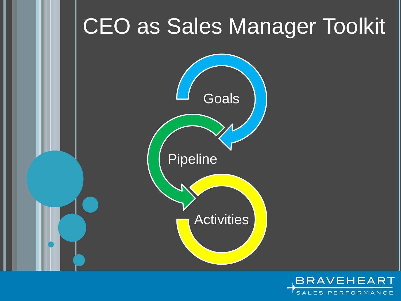

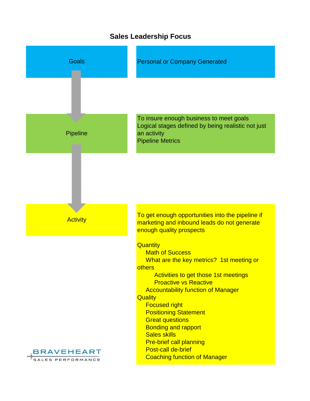

# **Sales Leadership Focus**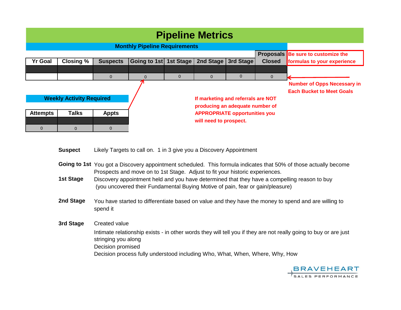| <b>Pipeline Metrics</b>         |                  |                 |                                      |                        |                                                                       |                       |                |                                                                        |
|---------------------------------|------------------|-----------------|--------------------------------------|------------------------|-----------------------------------------------------------------------|-----------------------|----------------|------------------------------------------------------------------------|
|                                 |                  |                 | <b>Monthly Pipeline Requirements</b> |                        |                                                                       |                       |                |                                                                        |
|                                 |                  |                 |                                      |                        |                                                                       |                       |                | Proposals Be sure to customize the                                     |
| <b>Yr Goal</b>                  | <b>Closing %</b> | <b>Suspects</b> | Going to 1st                         | <b>1st Stage</b>       |                                                                       | 2nd Stage   3rd Stage | <b>Closed</b>  | formulas to your experience                                            |
|                                 |                  |                 |                                      |                        |                                                                       |                       |                |                                                                        |
|                                 |                  | $\mathbf{0}$    | $\Omega$                             | $\mathbf{0}$           | $\Omega$                                                              | $\mathbf{0}$          | $\overline{0}$ |                                                                        |
|                                 |                  |                 |                                      |                        |                                                                       |                       |                | <b>Number of Opps Necessary in</b><br><b>Each Bucket to Meet Goals</b> |
| <b>Weekly Activity Required</b> |                  |                 |                                      |                        | If marketing and referrals are NOT<br>producing an adequate number of |                       |                |                                                                        |
| <b>Attempts</b>                 | <b>Talks</b>     | <b>Appts</b>    |                                      |                        | <b>APPROPRIATE opportunities you</b>                                  |                       |                |                                                                        |
|                                 |                  |                 |                                      | will need to prospect. |                                                                       |                       |                |                                                                        |
| $\overline{0}$                  | $\Omega$         | $\overline{0}$  |                                      |                        |                                                                       |                       |                |                                                                        |

**Suspect** Likely Targets to call on. 1 in 3 give you a Discovery Appointment

- Going to 1st You got a Discovery appointment scheduled. This formula indicates that 50% of those actually become Prospects and move on to 1st Stage. Adjust to fit your historic experiences.
- **1st Stage** Discovery appointment held and you have determined that they have a compelling reason to buy (you uncovered their Fundamental Buying Motive of pain, fear or gain/pleasure)
- **2nd Stage** You have started to differentiate based on value and they have the money to spend and are willing to spend it
- **3rd Stage** Created value Decision promised Decision process fully understood including Who, What, When, Where, Why, How Intimate relationship exists - in other words they will tell you if they are not really going to buy or are just stringing you along

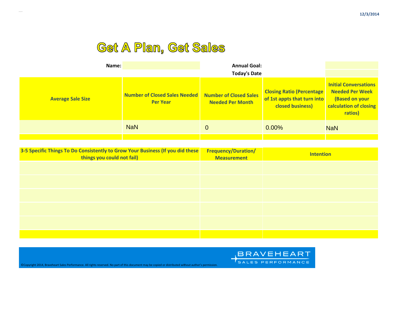# Get A Plan, Get Sales

| Name:                    |                                                  | <b>Annual Goal:</b><br><b>Today's Date</b>               |                                                                                             |                                                                                                               |
|--------------------------|--------------------------------------------------|----------------------------------------------------------|---------------------------------------------------------------------------------------------|---------------------------------------------------------------------------------------------------------------|
| <b>Average Sale Size</b> | Number of Closed Sales Needed<br><b>Per Year</b> | <b>Number of Closed Sales</b><br><b>Needed Per Month</b> | <b>Closing Ratio (Percentage)</b><br>of 1st appts that turn into<br><b>closed business)</b> | <b>Initial Conversations</b><br><b>Needed Per Week</b><br>(Based on your<br>calculation of closing<br>ratios) |
|                          | <b>NaN</b>                                       | 0                                                        | $0.00\%$                                                                                    | <b>NaN</b>                                                                                                    |
|                          |                                                  |                                                          |                                                                                             |                                                                                                               |

| 3-5 Specific Things To Do Consistently to Grow Your Business (If you did these<br>things you could not fail) | <b>Frequency/Duration/</b><br><b>Measurement</b> | <b>Intention</b> |
|--------------------------------------------------------------------------------------------------------------|--------------------------------------------------|------------------|
|                                                                                                              |                                                  |                  |
|                                                                                                              |                                                  |                  |
|                                                                                                              |                                                  |                  |
|                                                                                                              |                                                  |                  |
|                                                                                                              |                                                  |                  |
|                                                                                                              |                                                  |                  |



©Copyright 2014, Braveheart Sales Performance. All rights reserved. No part of this document may be copied or distributed without author's permission.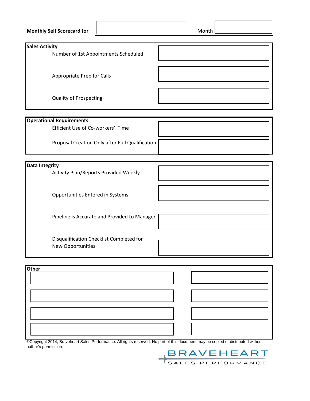| <b>Monthly Self Scorecard for</b>                                    | Month |
|----------------------------------------------------------------------|-------|
| <b>Sales Activity</b>                                                |       |
| Number of 1st Appointments Scheduled                                 |       |
| Appropriate Prep for Calls                                           |       |
| <b>Quality of Prospecting</b>                                        |       |
|                                                                      |       |
| <b>Operational Requirements</b><br>Efficient Use of Co-workers' Time |       |
| Proposal Creation Only after Full Qualification                      |       |
|                                                                      |       |
| <b>Data Integrity</b><br>Activity Plan/Reports Provided Weekly       |       |
| Opportunities Entered in Systems                                     |       |
| Pipeline is Accurate and Provided to Manager                         |       |
| Disqualification Checklist Completed for<br>New Opportunities        |       |
| <b>Other</b>                                                         |       |
|                                                                      |       |
|                                                                      |       |
|                                                                      |       |
|                                                                      |       |

©Copyright 2014, Braveheart Sales Performance. All rights reserved. No part of this document may be copied or distributed without author's permission. BRAVEHEART